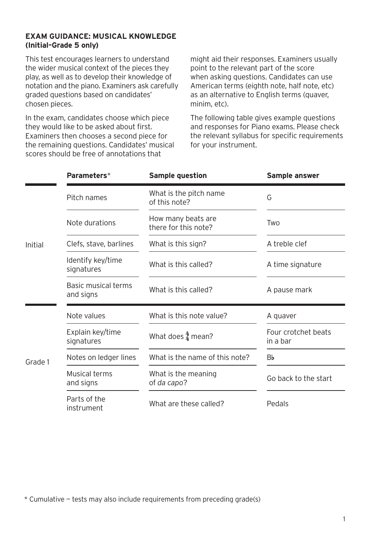## **EXAM GUIDANCE: MUSICAL KNOWLEDGE (Initial–Grade 5 only)**

This test encourages learners to understand the wider musical context of the pieces they play, as well as to develop their knowledge of notation and the piano. Examiners ask carefully graded questions based on candidates' chosen pieces.

In the exam, candidates choose which piece they would like to be asked about first. Examiners then chooses a second piece for the remaining questions. Candidates' musical scores should be free of annotations that

might aid their responses. Examiners usually point to the relevant part of the score when asking questions. Candidates can use American terms (eighth note, half note, etc) as an alternative to English terms (quaver, minim, etc).

The following table gives example questions and responses for Piano exams. Please check the relevant syllabus for specific requirements for your instrument.

|         | Parameters*                      | <b>Sample question</b>                     | Sample answer                   |
|---------|----------------------------------|--------------------------------------------|---------------------------------|
| Initial | Pitch names                      | What is the pitch name<br>of this note?    | G                               |
|         | Note durations                   | How many beats are<br>there for this note? | Two                             |
|         | Clefs, stave, barlines           | What is this sign?                         | A treble clef                   |
|         | Identify key/time<br>signatures  | What is this called?                       | A time signature                |
|         | Basic musical terms<br>and signs | What is this called?                       | A pause mark                    |
| Grade 1 | Note values                      | What is this note value?                   | A quaver                        |
|         | Explain key/time<br>signatures   | What does $\frac{4}{4}$ mean?              | Four crotchet beats<br>in a bar |
|         | Notes on ledger lines            | What is the name of this note?             | Вb                              |
|         | Musical terms<br>and signs       | What is the meaning<br>of da capo?         | Go back to the start            |
|         | Parts of the<br>instrument       | What are these called?                     | Pedals                          |

\* Cumulative — tests may also include requirements from preceding grade(s)